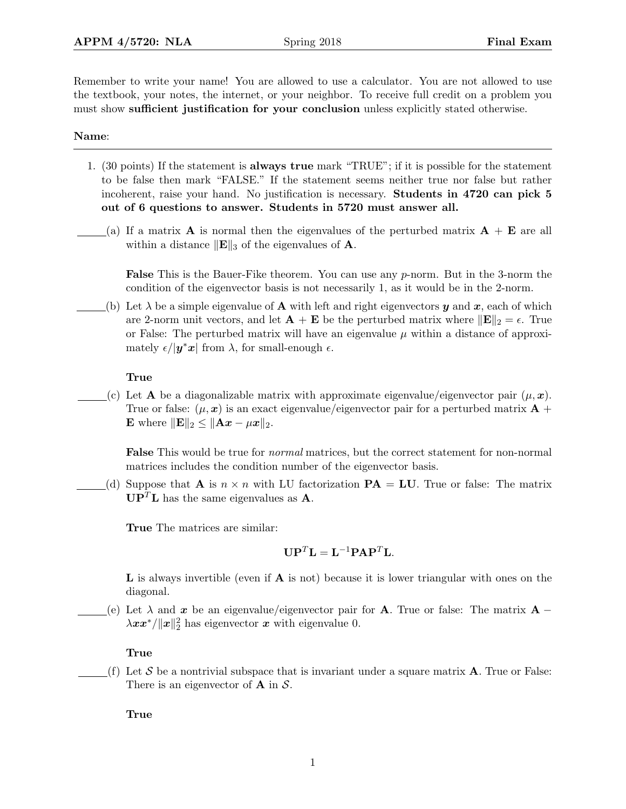Remember to write your name! You are allowed to use a calculator. You are not allowed to use the textbook, your notes, the internet, or your neighbor. To receive full credit on a problem you must show sufficient justification for your conclusion unless explicitly stated otherwise.

## Name:

- 1. (30 points) If the statement is always true mark "TRUE"; if it is possible for the statement to be false then mark "FALSE." If the statement seems neither true nor false but rather incoherent, raise your hand. No justification is necessary. Students in 4720 can pick 5 out of 6 questions to answer. Students in 5720 must answer all.
- (a) If a matrix **A** is normal then the eigenvalues of the perturbed matrix  $\mathbf{A} + \mathbf{E}$  are all within a distance  $\|\mathbf{E}\|_3$  of the eigenvalues of **A**.

**False** This is the Bauer-Fike theorem. You can use any  $p$ -norm. But in the 3-norm the condition of the eigenvector basis is not necessarily 1, as it would be in the 2-norm.

(b) Let  $\lambda$  be a simple eigenvalue of **A** with left and right eigenvectors y and x, each of which are 2-norm unit vectors, and let  $\mathbf{A} + \mathbf{E}$  be the perturbed matrix where  $\|\mathbf{E}\|_2 = \epsilon$ . True or False: The perturbed matrix will have an eigenvalue  $\mu$  within a distance of approximately  $\epsilon/|\mathbf{y}^*\mathbf{x}|$  from  $\lambda$ , for small-enough  $\epsilon$ .

## True

(c) Let **A** be a diagonalizable matrix with approximate eigenvalue/eigenvector pair  $(\mu, x)$ . True or false:  $(\mu, x)$  is an exact eigenvalue/eigenvector pair for a perturbed matrix  $\mathbf{A}$  + E where  $\|\mathbf{E}\|_2 \leq \|\mathbf{A}\mathbf{x} - \mu \mathbf{x}\|_2.$ 

False This would be true for normal matrices, but the correct statement for non-normal matrices includes the condition number of the eigenvector basis.

(d) Suppose that **A** is  $n \times n$  with LU factorization **PA** = **LU**. True or false: The matrix  $\mathbf{U}\mathbf{P}^T\mathbf{L}$  has the same eigenvalues as **A**.

True The matrices are similar:

$$
\mathbf{U}\mathbf{P}^T\mathbf{L} = \mathbf{L}^{-1}\mathbf{P}\mathbf{A}\mathbf{P}^T\mathbf{L}.
$$

L is always invertible (even if A is not) because it is lower triangular with ones on the diagonal.

(e) Let  $\lambda$  and x be an eigenvalue/eigenvector pair for **A**. True or false: The matrix **A** −  $\lambda xx^*/\|x\|_2^2$  has eigenvector x with eigenvalue 0.

True

(f) Let S be a nontrivial subspace that is invariant under a square matrix  $\bf{A}$ . True or False: There is an eigenvector of  $A$  in  $S$ .

True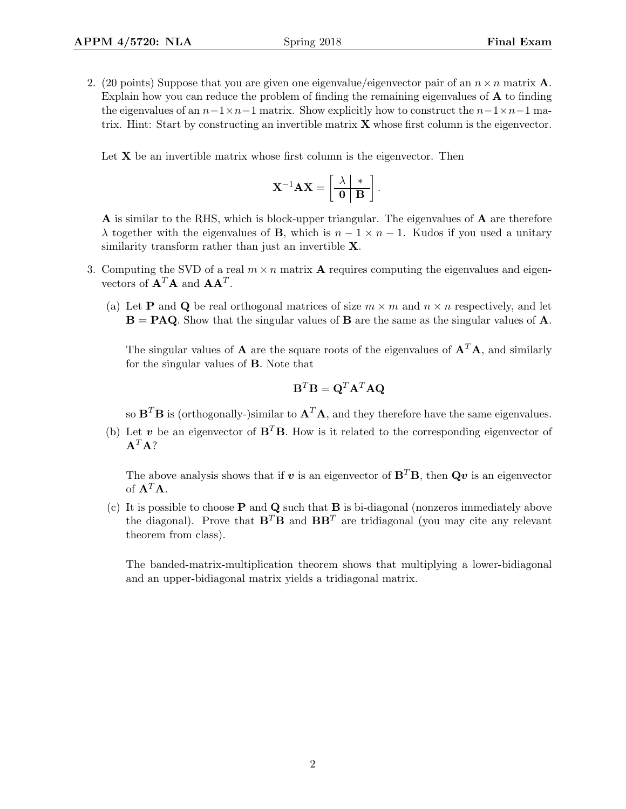2. (20 points) Suppose that you are given one eigenvalue/eigenvector pair of an  $n \times n$  matrix **A**. Explain how you can reduce the problem of finding the remaining eigenvalues of A to finding the eigenvalues of an  $n-1\times n-1$  matrix. Show explicitly how to construct the  $n-1\times n-1$  matrix. Hint: Start by constructing an invertible matrix  $X$  whose first column is the eigenvector.

Let  $X$  be an invertible matrix whose first column is the eigenvector. Then

$$
\mathbf{X}^{-1}\mathbf{A}\mathbf{X} = \begin{bmatrix} \lambda & * \\ \hline \mathbf{0} & \mathbf{B} \end{bmatrix}.
$$

A is similar to the RHS, which is block-upper triangular. The eigenvalues of A are therefore  $\lambda$  together with the eigenvalues of **B**, which is  $n - 1 \times n - 1$ . Kudos if you used a unitary similarity transform rather than just an invertible **X**.

- 3. Computing the SVD of a real  $m \times n$  matrix **A** requires computing the eigenvalues and eigenvectors of  $\mathbf{A}^T \mathbf{A}$  and  $\mathbf{A} \mathbf{A}^T$ .
	- (a) Let **P** and **Q** be real orthogonal matrices of size  $m \times m$  and  $n \times n$  respectively, and let  $B = P A Q$ . Show that the singular values of B are the same as the singular values of A.

The singular values of **A** are the square roots of the eigenvalues of  $A^T A$ , and similarly for the singular values of B. Note that

$$
\mathbf{B}^T \mathbf{B} = \mathbf{Q}^T \mathbf{A}^T \mathbf{A} \mathbf{Q}
$$

so  $\mathbf{B}^T \mathbf{B}$  is (orthogonally-)similar to  $\mathbf{A}^T \mathbf{A}$ , and they therefore have the same eigenvalues.

(b) Let v be an eigenvector of  $B^T B$ . How is it related to the corresponding eigenvector of  $A^T A?$ 

The above analysis shows that if v is an eigenvector of  $\mathbf{B}^T\mathbf{B}$ , then  $\mathbf{Q}v$  is an eigenvector of  $A^T A$ .

(c) It is possible to choose  $P$  and  $Q$  such that  $B$  is bi-diagonal (nonzeros immediately above the diagonal). Prove that  $\mathbf{B}^T \mathbf{B}$  and  $\mathbf{B} \mathbf{B}^T$  are tridiagonal (you may cite any relevant theorem from class).

The banded-matrix-multiplication theorem shows that multiplying a lower-bidiagonal and an upper-bidiagonal matrix yields a tridiagonal matrix.